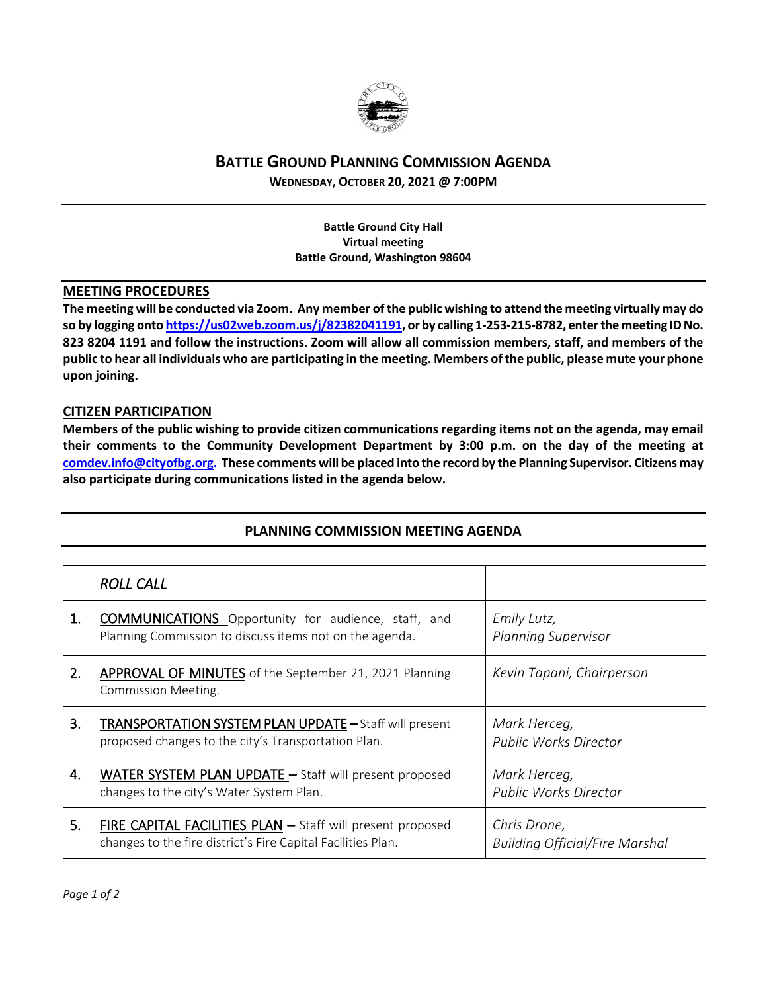

## **BATTLE GROUND PLANNING COMMISSION AGENDA**

**WEDNESDAY, OCTOBER 20, 2021 @ 7:00PM**

**Battle Ground City Hall Virtual meeting Battle Ground, Washington 98604**

## **MEETING PROCEDURES**

**The meeting will be conducted via Zoom. Any member of the public wishing to attend the meeting virtually may do so by logging onto [https://us02web.zoom.us/j/82382041191,](https://us02web.zoom.us/j/82382041191) or by calling 1-253-215-8782, enter the meeting IDNo. 823 8204 1191 and follow the instructions. Zoom will allow all commission members, staff, and members of the public to hear all individuals who are participating in the meeting. Members of the public, please mute your phone upon joining.**

## **CITIZEN PARTICIPATION**

**Members of the public wishing to provide citizen communications regarding items not on the agenda, may email their comments to the Community Development Department by 3:00 p.m. on the day of the meeting at [comdev.info@cityofbg.org.](mailto:comdev.info@cityofbg.org) These comments will be placed into the record by the Planning Supervisor. Citizens may also participate during communications listed in the agenda below.** 

|    | <b>ROLL CALL</b>                                                                                                           |                                                       |
|----|----------------------------------------------------------------------------------------------------------------------------|-------------------------------------------------------|
| 1. | <b>COMMUNICATIONS</b> Opportunity for audience, staff, and<br>Planning Commission to discuss items not on the agenda.      | Emily Lutz,<br><b>Planning Supervisor</b>             |
| 2. | <b>APPROVAL OF MINUTES</b> of the September 21, 2021 Planning<br>Commission Meeting.                                       | Kevin Tapani, Chairperson                             |
| 3. | <b>TRANSPORTATION SYSTEM PLAN UPDATE - Staff will present</b><br>proposed changes to the city's Transportation Plan.       | Mark Herceg,<br><b>Public Works Director</b>          |
| 4. | WATER SYSTEM PLAN UPDATE - Staff will present proposed<br>changes to the city's Water System Plan.                         | Mark Herceg,<br><b>Public Works Director</b>          |
| 5. | FIRE CAPITAL FACILITIES PLAN - Staff will present proposed<br>changes to the fire district's Fire Capital Facilities Plan. | Chris Drone,<br><b>Building Official/Fire Marshal</b> |

## **PLANNING COMMISSION MEETING AGENDA**